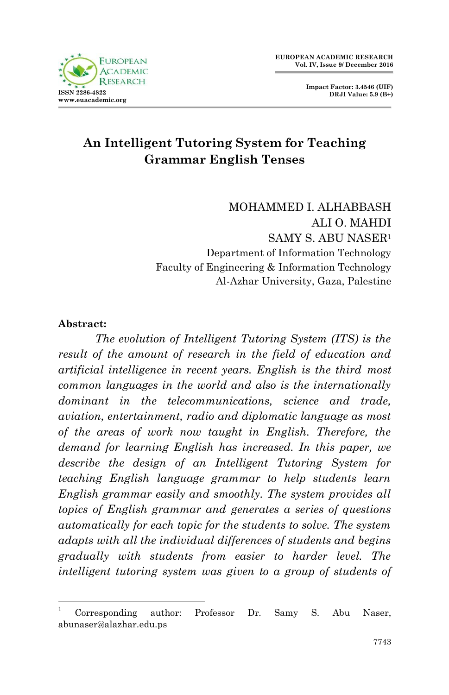



# **An Intelligent Tutoring System for Teaching Grammar English Tenses**

MOHAMMED I. ALHABBASH ALI O. MAHDI SAMY S. ABU NASER<sup>1</sup> Department of Information Technology Faculty of Engineering & Information Technology Al-Azhar University, Gaza, Palestine

### **Abstract:**

.

 *The evolution of Intelligent Tutoring System (ITS) is the result of the amount of research in the field of education and artificial intelligence in recent years. English is the third most common languages in the world and also is the internationally dominant in the telecommunications, science and trade, aviation, entertainment, radio and diplomatic language as most of the areas of work now taught in English. Therefore, the demand for learning English has increased. In this paper, we describe the design of an Intelligent Tutoring System for teaching English language grammar to help students learn English grammar easily and smoothly. The system provides all topics of English grammar and generates a series of questions automatically for each topic for the students to solve. The system adapts with all the individual differences of students and begins gradually with students from easier to harder level. The intelligent tutoring system was given to a group of students of* 

<sup>1</sup> Corresponding author: Professor Dr. Samy S. Abu Naser, abunaser@alazhar.edu.ps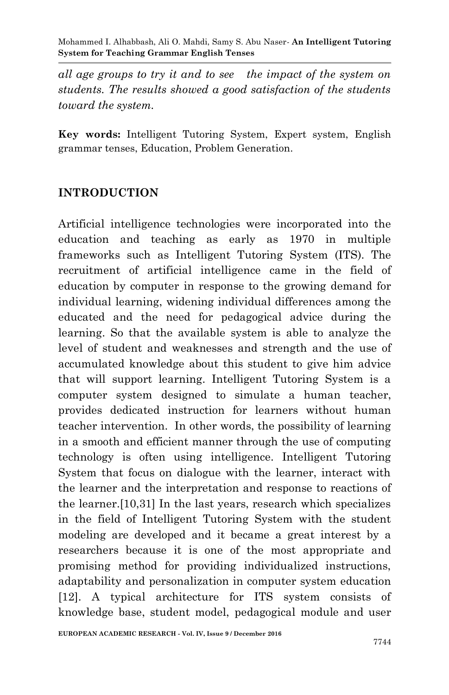*all age groups to try it and to see the impact of the system on students. The results showed a good satisfaction of the students toward the system.*

**Key words:** Intelligent Tutoring System, Expert system, English grammar tenses, Education, Problem Generation.

## **INTRODUCTION**

Artificial intelligence technologies were incorporated into the education and teaching as early as 1970 in multiple frameworks such as Intelligent Tutoring System (ITS). The recruitment of artificial intelligence came in the field of education by computer in response to the growing demand for individual learning, widening individual differences among the educated and the need for pedagogical advice during the learning. So that the available system is able to analyze the level of student and weaknesses and strength and the use of accumulated knowledge about this student to give him advice that will support learning. Intelligent Tutoring System is a computer system designed to simulate a human teacher, provides dedicated instruction for learners without human teacher intervention. In other words, the possibility of learning in a smooth and efficient manner through the use of computing technology is often using intelligence. Intelligent Tutoring System that focus on dialogue with the learner, interact with the learner and the interpretation and response to reactions of the learner.[10,31] In the last years, research which specializes in the field of Intelligent Tutoring System with the student modeling are developed and it became a great interest by a researchers because it is one of the most appropriate and promising method for providing individualized instructions, adaptability and personalization in computer system education [12]. A typical architecture for ITS system consists of knowledge base, student model, pedagogical module and user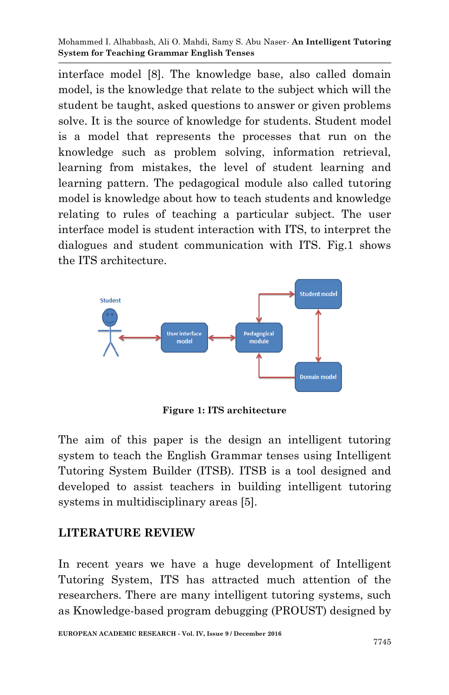interface model [8]. The knowledge base, also called domain model, is the knowledge that relate to the subject which will the student be taught, asked questions to answer or given problems solve. It is the source of knowledge for students. Student model is a model that represents the processes that run on the knowledge such as problem solving, information retrieval, learning from mistakes, the level of student learning and learning pattern. The pedagogical module also called tutoring model is knowledge about how to teach students and knowledge relating to rules of teaching a particular subject. The user interface model is student interaction with ITS, to interpret the dialogues and student communication with ITS. Fig.1 shows the ITS architecture.



**Figure 1: ITS architecture**

The aim of this paper is the design an intelligent tutoring system to teach the English Grammar tenses using Intelligent Tutoring System Builder (ITSB). ITSB is a tool designed and developed to assist teachers in building intelligent tutoring systems in multidisciplinary areas [5].

### **LITERATURE REVIEW**

In recent years we have a huge development of Intelligent Tutoring System, ITS has attracted much attention of the researchers. There are many intelligent tutoring systems, such as Knowledge-based program debugging (PROUST) designed by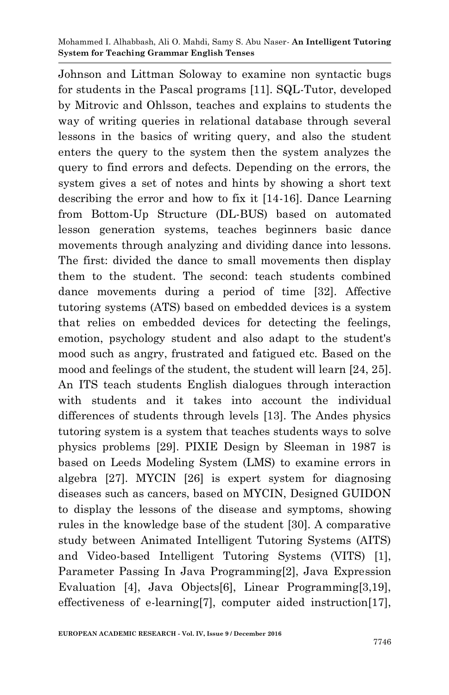Johnson and Littman Soloway to examine non syntactic bugs for students in the Pascal programs [11]. SQL-Tutor, developed by Mitrovic and Ohlsson, teaches and explains to students the way of writing queries in relational database through several lessons in the basics of writing query, and also the student enters the query to the system then the system analyzes the query to find errors and defects. Depending on the errors, the system gives a set of notes and hints by showing a short text describing the error and how to fix it [14-16]. Dance Learning from Bottom-Up Structure (DL-BUS) based on automated lesson generation systems, teaches beginners basic dance movements through analyzing and dividing dance into lessons. The first: divided the dance to small movements then display them to the student. The second: teach students combined dance movements during a period of time [32]. Affective tutoring systems (ATS) based on embedded devices is a system that relies on embedded devices for detecting the feelings, emotion, psychology student and also adapt to the student's mood such as angry, frustrated and fatigued etc. Based on the mood and feelings of the student, the student will learn [24, 25]. An ITS teach students English dialogues through interaction with students and it takes into account the individual differences of students through levels [13]. The Andes physics tutoring system is a system that teaches students ways to solve physics problems [29]. PIXIE Design by Sleeman in 1987 is based on Leeds Modeling System (LMS) to examine errors in algebra [27]. MYCIN [26] is expert system for diagnosing diseases such as cancers, based on MYCIN, Designed GUIDON to display the lessons of the disease and symptoms, showing rules in the knowledge base of the student [30]. A comparative study between Animated Intelligent Tutoring Systems (AITS) and Video-based Intelligent Tutoring Systems (VITS) [1], Parameter Passing In Java Programming[2], Java Expression Evaluation [4], Java Objects[6], Linear Programming[3,19], effectiveness of e-learning[7], computer aided instruction[17],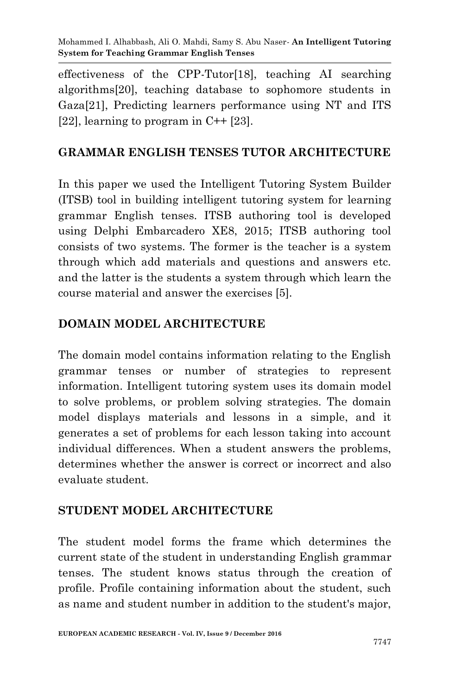effectiveness of the CPP-Tutor[18], teaching AI searching algorithms[20], teaching database to sophomore students in Gaza[21], Predicting learners performance using NT and ITS [22], learning to program in  $C++$  [23].

### **GRAMMAR ENGLISH TENSES TUTOR ARCHITECTURE**

In this paper we used the Intelligent Tutoring System Builder (ITSB) tool in building intelligent tutoring system for learning grammar English tenses. ITSB authoring tool is developed using Delphi Embarcadero XE8, 2015; ITSB authoring tool consists of two systems. The former is the teacher is a system through which add materials and questions and answers etc. and the latter is the students a system through which learn the course material and answer the exercises [5].

### **DOMAIN MODEL ARCHITECTURE**

The domain model contains information relating to the English grammar tenses or number of strategies to represent information. Intelligent tutoring system uses its domain model to solve problems, or problem solving strategies. The domain model displays materials and lessons in a simple, and it generates a set of problems for each lesson taking into account individual differences. When a student answers the problems, determines whether the answer is correct or incorrect and also evaluate student.

### **STUDENT MODEL ARCHITECTURE**

The student model forms the frame which determines the current state of the student in understanding English grammar tenses. The student knows status through the creation of profile. Profile containing information about the student, such as name and student number in addition to the student's major,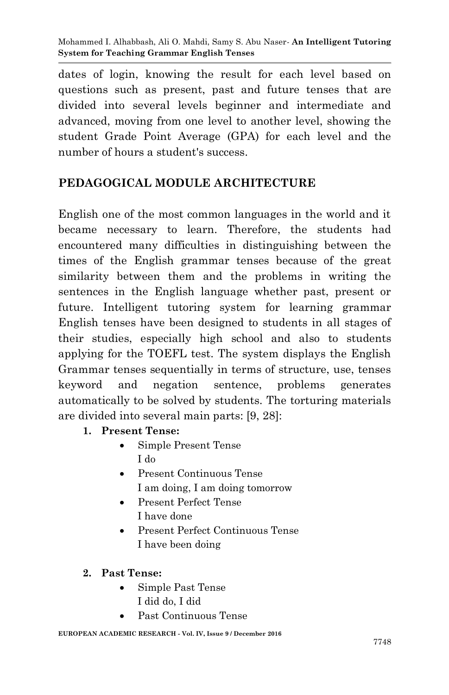dates of login, knowing the result for each level based on questions such as present, past and future tenses that are divided into several levels beginner and intermediate and advanced, moving from one level to another level, showing the student Grade Point Average (GPA) for each level and the number of hours a student's success.

# **PEDAGOGICAL MODULE ARCHITECTURE**

English one of the most common languages in the world and it became necessary to learn. Therefore, the students had encountered many difficulties in distinguishing between the times of the English grammar tenses because of the great similarity between them and the problems in writing the sentences in the English language whether past, present or future. Intelligent tutoring system for learning grammar English tenses have been designed to students in all stages of their studies, especially high school and also to students applying for the TOEFL test. The system displays the English Grammar tenses sequentially in terms of structure, use, tenses keyword and negation sentence, problems generates automatically to be solved by students. The torturing materials are divided into several main parts: [9, 28]:

- **1. Present Tense:**
	- Simple Present Tense I do
	- Present Continuous Tense I am doing, I am doing tomorrow
	- Present Perfect Tense
		- I have done
	- Present Perfect Continuous Tense I have been doing
- **2. Past Tense:**
	- Simple Past Tense I did do, I did
	- Past Continuous Tense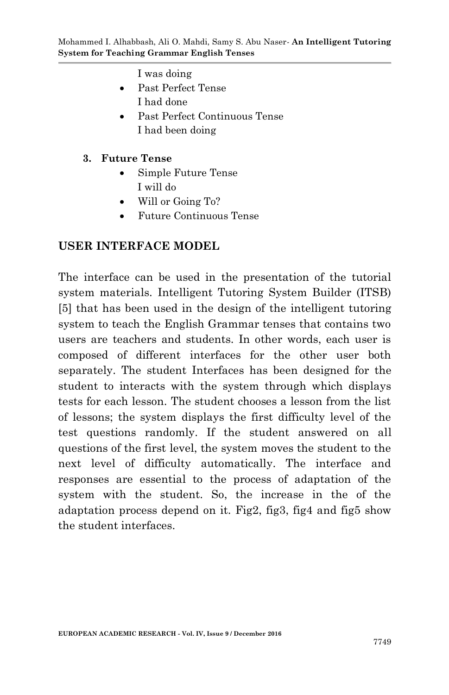I was doing

- Past Perfect Tense I had done
- Past Perfect Continuous Tense I had been doing

#### **3. Future Tense**

- Simple Future Tense I will do
- Will or Going To?
- Future Continuous Tense

### **USER INTERFACE MODEL**

The interface can be used in the presentation of the tutorial system materials. Intelligent Tutoring System Builder (ITSB) [5] that has been used in the design of the intelligent tutoring system to teach the English Grammar tenses that contains two users are teachers and students. In other words, each user is composed of different interfaces for the other user both separately. The student Interfaces has been designed for the student to interacts with the system through which displays tests for each lesson. The student chooses a lesson from the list of lessons; the system displays the first difficulty level of the test questions randomly. If the student answered on all questions of the first level, the system moves the student to the next level of difficulty automatically. The interface and responses are essential to the process of adaptation of the system with the student. So, the increase in the of the adaptation process depend on it. Fig2, fig3, fig4 and fig5 show the student interfaces.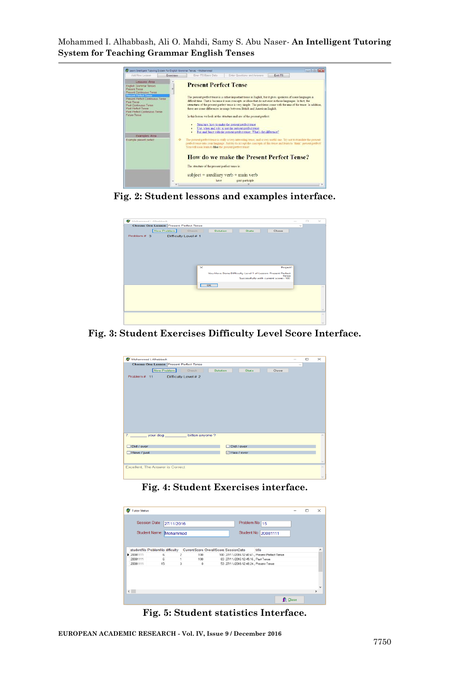

**Fig. 2: Student lessons and examples interface.**

| Mohammed I, Alhabbash                   | $\Box$<br>$\sim$                                            |
|-----------------------------------------|-------------------------------------------------------------|
| Choose One Lesson Present Perfect Tense | $\sim$                                                      |
| New Problem<br>Check<br>Selution        | <b>Stats</b><br>Close                                       |
| Difficulty Level # 1<br>Problem $\pi$ 3 |                                                             |
|                                         |                                                             |
|                                         |                                                             |
|                                         |                                                             |
|                                         |                                                             |
|                                         |                                                             |
|                                         |                                                             |
| $\times$                                | Project1                                                    |
|                                         | You Have Done Difficulty Level 1 of Lesson: Present Perfect |
|                                         | Tense                                                       |
|                                         | Successfully with current score: 100                        |
| $\overline{\phantom{a}}$ ok             |                                                             |
|                                         |                                                             |
|                                         |                                                             |
|                                         |                                                             |
|                                         |                                                             |
|                                         |                                                             |
|                                         |                                                             |
|                                         |                                                             |

#### **Fig. 3: Student Exercises Difficulty Level Score Interface.**

| Mohammed I. Alhabbash<br>œ                     |                       | $\sim$ | $\Box$ | $\! \times$ |
|------------------------------------------------|-----------------------|--------|--------|-------------|
| <b>Choose One Lesson Present Perfect Tense</b> |                       | $\sim$ |        |             |
| New Problem<br>Check<br>Solution               | <b>Stats</b><br>Close |        |        |             |
| Difficulty Level # 2<br>Problem # 11           |                       |        |        |             |
|                                                |                       |        |        |             |
|                                                |                       |        |        |             |
|                                                |                       |        |        |             |
|                                                |                       |        |        |             |
|                                                |                       |        |        |             |
|                                                |                       |        |        |             |
|                                                |                       |        |        |             |
|                                                |                       |        |        |             |
|                                                |                       |        |        |             |
| 7.77<br>your dog<br>bitten anyone ?            |                       |        |        | $\sim$      |
|                                                |                       |        |        |             |
| □ Did / ever                                   | $\Box$ Did / ever     |        |        |             |
| □Have / just                                   | ⊠ Has / ever          |        |        |             |
|                                                |                       |        |        | $\sim$      |
| Excellent, The Answer is Correct               |                       |        |        | $\sim$      |
|                                                |                       |        |        |             |
|                                                |                       |        |        | $\sim$      |

#### **Fig. 4: Student Exercises interface.**

| 27/11/2016<br><b>Student Name</b><br>Mohammed<br>studentNo ProblemNo difficulty<br>6 | CurrentScore OverallScore SessionDate<br>$\overline{c}$<br>100 |        | Problem No 15     | Student No 20081111<br>title                   |                                                                             | $\hat{\phantom{a}}$ |
|--------------------------------------------------------------------------------------|----------------------------------------------------------------|--------|-------------------|------------------------------------------------|-----------------------------------------------------------------------------|---------------------|
|                                                                                      |                                                                |        |                   |                                                |                                                                             |                     |
|                                                                                      |                                                                |        |                   |                                                |                                                                             |                     |
|                                                                                      |                                                                |        |                   |                                                |                                                                             |                     |
|                                                                                      |                                                                |        |                   |                                                |                                                                             |                     |
|                                                                                      |                                                                |        |                   | 100 27/11/2016 12:40:41, Present Perfect Tense |                                                                             |                     |
|                                                                                      |                                                                |        |                   |                                                |                                                                             |                     |
|                                                                                      |                                                                |        |                   |                                                |                                                                             |                     |
|                                                                                      |                                                                |        |                   |                                                |                                                                             | $\ddot{}$           |
|                                                                                      |                                                                |        |                   |                                                |                                                                             | $\rightarrow$       |
|                                                                                      | R.<br>15                                                       | 1<br>3 | 100<br>$^{\circ}$ |                                                | 83 27/11/2016 12:45:16, Past Tense<br>53 27/11/2016 12:48:24, Present Tense |                     |

**Fig. 5: Student statistics Interface.**

**EUROPEAN ACADEMIC RESEARCH - Vol. IV, Issue 9 / December 2016**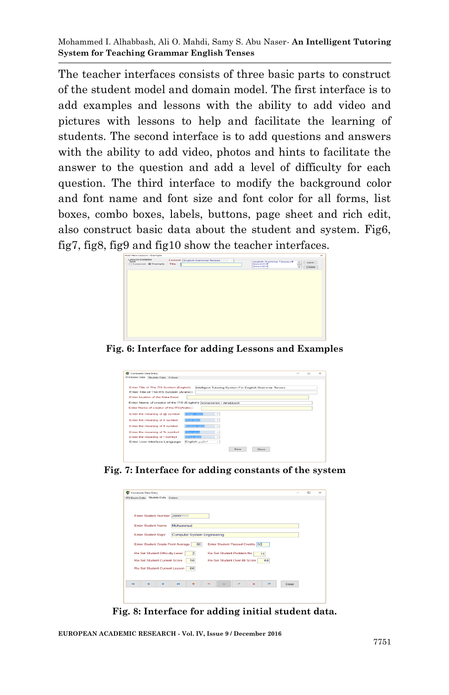The teacher interfaces consists of three basic parts to construct of the student model and domain model. The first interface is to add examples and lessons with the ability to add video and pictures with lessons to help and facilitate the learning of students. The second interface is to add questions and answers with the ability to add video, photos and hints to facilitate the answer to the question and add a level of difficulty for each question. The third interface to modify the background color and font name and font size and font color for all forms, list boxes, combo boxes, labels, buttons, page sheet and rich edit, also construct basic data about the student and system. Fig6, fig7, fig8, fig9 and fig10 show the teacher interfaces.



**Fig. 6: Interface for adding Lessons and Examples**

| <b>Constants Data Entry</b><br>œ                                                                  | $\sim$ | $\Box$ | $\times$ |
|---------------------------------------------------------------------------------------------------|--------|--------|----------|
| ITS Basic Data Studnts Data Colora                                                                |        |        |          |
| Enter Title of The ITS System (English)<br>Intelligent Tutoring System For English Grammar Tenses |        |        |          |
| Enter Title of The ITS System (Arabic)                                                            |        |        |          |
| Enter location of the Data Base                                                                   |        |        |          |
| Enter Name of creator of the ITS (English) [Mohammed I. Alhabbash                                 |        |        |          |
| Enter Name of creator of the ITS(Arabic)                                                          |        |        |          |
| Enter the meaning of @ symbol<br><b>Integer Value</b><br>$\sim$                                   |        |        |          |
| Enter the meaning of $t\bar{t}$ symbol<br><b>Elbat Value</b><br>$\sim$                            |        |        |          |
| Enter the meaning of \$ symbol<br>Boolean value<br><b>V</b>                                       |        |        |          |
| Enter the meaning of % symbol<br>Char value<br>$\sim$                                             |        |        |          |
| Enter the meaning of * symbol<br><b>String value</b><br>÷                                         |        |        |          |
| English-Leaker<br>Enter User Interface Language<br>$\sim$                                         |        |        |          |
| Save<br>Close                                                                                     |        |        |          |



| <b>Constants Data Entry</b><br>œ       |                                    |                                 |    |        |       | $\sim$ | п | $\times$ |
|----------------------------------------|------------------------------------|---------------------------------|----|--------|-------|--------|---|----------|
| ITS Basic Data Studnts Data Colors     |                                    |                                 |    |        |       |        |   |          |
| Enter Student Number 20081111          |                                    |                                 |    |        |       |        |   |          |
| <b>Enter Student Name</b>              | Mohammed                           |                                 |    |        |       |        |   |          |
| <b>Enter Student Major</b>             | <b>Computer System Engineering</b> |                                 |    |        |       |        |   |          |
| Enter Student Grade Point Average      | 80                                 | Enter Student Passed Credits 50 |    |        |       |        |   |          |
| <b>Re-Set Student Difficulty Level</b> | $\overline{2}$                     | Re-Set Student Problem No       | 11 |        |       |        |   |          |
| <b>Re-Set Student Current Score</b>    | 50                                 | Re-Set Student Over All Score   | 64 |        |       |        |   |          |
| Re-Set Student Current Lesson          | 66                                 |                                 |    |        |       |        |   |          |
| $\overline{1}$                         | ы                                  |                                 |    | $\sim$ | Close |        |   |          |
|                                        |                                    |                                 |    |        |       |        |   |          |
|                                        |                                    |                                 |    |        |       |        |   |          |

**Fig. 8: Interface for adding initial student data.**

**EUROPEAN ACADEMIC RESEARCH - Vol. IV, Issue 9 / December 2016**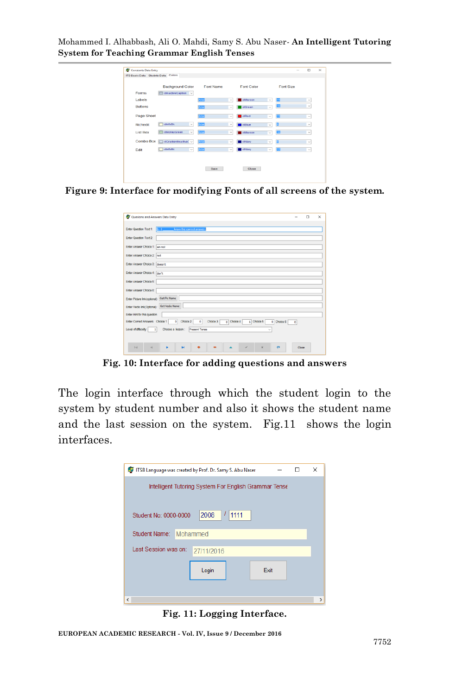|                 | <b>Background Color</b>          | <b>Font Name</b>     | Font Color                    | Font Size         |              |
|-----------------|----------------------------------|----------------------|-------------------------------|-------------------|--------------|
| Forms           | clinactiveCaption v              |                      |                               |                   |              |
| Labels          |                                  | Arial                | ciMaroon<br>$\sim$            | 帀<br>$\checkmark$ | $\checkmark$ |
| <b>Buttons</b>  |                                  | <b>Arial</b>         | dGreen<br>$\checkmark$        | ю<br>$\checkmark$ | $\checkmark$ |
| Page Sheet      |                                  | Aria                 | ciRed<br>$\checkmark$         | 面<br>$\checkmark$ | $\checkmark$ |
| Richedit        | $\Box$ clinfo $Bk$<br>$\backsim$ | Arial                | cittue<br>$\sim$              | E<br>$\sim$       | $\checkmark$ |
| <b>List Box</b> | citioneyGreen<br>$\sim$          | Arial                | cillaroon<br>$\sim$           | 10<br>$\sim$      | $\sim$       |
|                 | Combo Box aGradienthactive(      | Arial                | <b>CINavy</b><br>$\checkmark$ | Ð<br>$\checkmark$ | $\sim$       |
| Edit            | clinfoBk<br>┑<br>$\sim$          | $\boxed{\text{min}}$ | ciNavy<br>$\checkmark$        | Œ<br>$\checkmark$ | $\checkmark$ |
|                 |                                  |                      |                               |                   |              |

**Figure 9: Interface for modifying Fonts of all screens of the system.**

| Quesions and Answers Data Entry                                                                              |         | п | $\times$ |
|--------------------------------------------------------------------------------------------------------------|---------|---|----------|
| Enter Question Text 1: 1. 1 Line Linew the correct answer.                                                   |         |   |          |
| Enter Question Text 2:                                                                                       |         |   |          |
| Enter Answer Choice 1: am not                                                                                |         |   |          |
| Enter Answer Choice 2: not                                                                                   |         |   |          |
| Enter Answer Choice 3: doesn't                                                                               |         |   |          |
| Enter Answer Choice 4: don't                                                                                 |         |   |          |
| Enter Answer Choice 5:                                                                                       |         |   |          |
| Enter Answer Choice 6:                                                                                       |         |   |          |
| Enter Picture Ink(optional) Get Pic Name                                                                     |         |   |          |
| Enter Vedio link(Optional): Get Vedio Name                                                                   |         |   |          |
| Enter Hint for this question                                                                                 |         |   |          |
| Enter Correct Answers Choice 1 0 Choice 2<br>o Choice 4<br>1 Choice 5<br>$\bullet$<br>Choice 3<br>0 Choice 6 | $\circ$ |   |          |
| Choose a lesson : Present Tense<br>Level of diffeculty 1                                                     |         |   |          |
|                                                                                                              |         |   |          |
| q <br>$\sim$<br>ы<br>ر<br>$\times$<br>$\mathbf{C}$                                                           | Close   |   |          |

**Fig. 10: Interface for adding questions and answers**

The login interface through which the student login to the system by student number and also it shows the student name and the last session on the system. Fig.11 shows the login interfaces.

|                          | ITSB Language was created by Prof. Dr. Samy S. Abu Naser |      | X             |
|--------------------------|----------------------------------------------------------|------|---------------|
|                          | Intelligent Tutoring System For English Grammar Tense    |      |               |
|                          |                                                          |      |               |
| Student No: 0000-0000    | 2008<br>1111                                             |      |               |
| Student Name: Mohammed   |                                                          |      |               |
| Last Session was on:     | 27/11/2016                                               |      |               |
|                          |                                                          |      |               |
|                          | Login                                                    | Exit |               |
|                          |                                                          |      |               |
| $\overline{\phantom{a}}$ |                                                          |      | $\rightarrow$ |

**Fig. 11: Logging Interface.**

**EUROPEAN ACADEMIC RESEARCH - Vol. IV, Issue 9 / December 2016**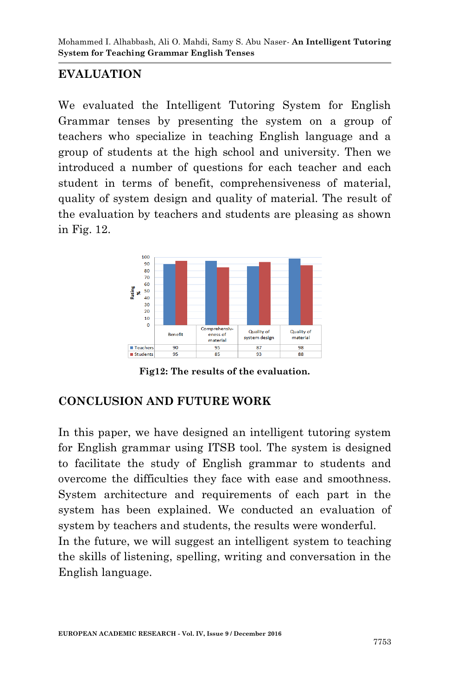## **EVALUATION**

We evaluated the Intelligent Tutoring System for English Grammar tenses by presenting the system on a group of teachers who specialize in teaching English language and a group of students at the high school and university. Then we introduced a number of questions for each teacher and each student in terms of benefit, comprehensiveness of material, quality of system design and quality of material. The result of the evaluation by teachers and students are pleasing as shown in Fig. 12.



**Fig12: The results of the evaluation.**

### **CONCLUSION AND FUTURE WORK**

In this paper, we have designed an intelligent tutoring system for English grammar using ITSB tool. The system is designed to facilitate the study of English grammar to students and overcome the difficulties they face with ease and smoothness. System architecture and requirements of each part in the system has been explained. We conducted an evaluation of system by teachers and students, the results were wonderful. In the future, we will suggest an intelligent system to teaching the skills of listening, spelling, writing and conversation in the English language.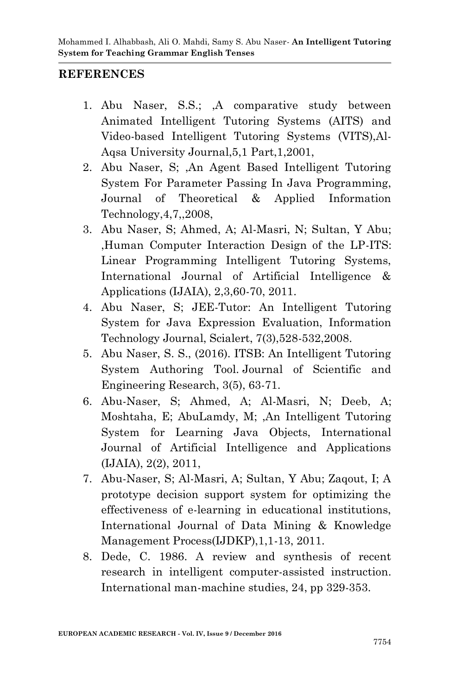### **REFERENCES**

- 1. Abu Naser, S.S.; ,A comparative study between Animated Intelligent Tutoring Systems (AITS) and Video-based Intelligent Tutoring Systems (VITS),Al-Aqsa University Journal,5,1 Part,1,2001,
- 2. Abu Naser, S; ,An Agent Based Intelligent Tutoring System For Parameter Passing In Java Programming, Journal of Theoretical & Applied Information Technology,4,7,,2008,
- 3. Abu Naser, S; Ahmed, A; Al-Masri, N; Sultan, Y Abu; ,Human Computer Interaction Design of the LP-ITS: Linear Programming Intelligent Tutoring Systems, International Journal of Artificial Intelligence & Applications (IJAIA), 2,3,60-70, 2011.
- 4. Abu Naser, S; JEE-Tutor: An Intelligent Tutoring System for Java Expression Evaluation, Information Technology Journal, Scialert, 7(3),528-532,2008.
- 5. Abu Naser, S. S., (2016). ITSB: An Intelligent Tutoring System Authoring Tool. Journal of Scientific and Engineering Research, 3(5), 63-71.
- 6. Abu-Naser, S; Ahmed, A; Al-Masri, N; Deeb, A; Moshtaha, E; AbuLamdy, M; ,An Intelligent Tutoring System for Learning Java Objects, International Journal of Artificial Intelligence and Applications (IJAIA), 2(2), 2011,
- 7. Abu-Naser, S; Al-Masri, A; Sultan, Y Abu; Zaqout, I; A prototype decision support system for optimizing the effectiveness of e-learning in educational institutions, International Journal of Data Mining & Knowledge Management Process(IJDKP),1,1-13, 2011.
- 8. Dede, C. 1986. A review and synthesis of recent research in intelligent computer-assisted instruction. International man-machine studies, 24, pp 329-353.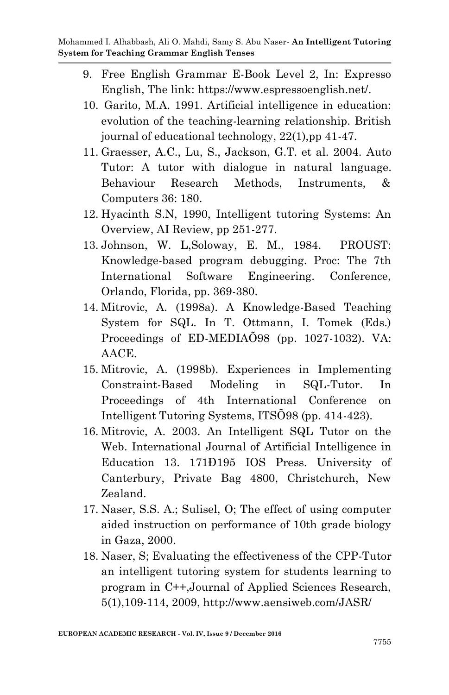- 9. Free English Grammar E-Book Level 2, In: Expresso English, The link: https://www.espressoenglish.net/.
- 10. Garito, M.A. 1991. Artificial intelligence in education: evolution of the teaching-learning relationship. British journal of educational technology, 22(1),pp 41-47.
- 11. Graesser, A.C., Lu, S., Jackson, G.T. et al. 2004. Auto Tutor: A tutor with dialogue in natural language. Behaviour Research Methods, Instruments, & Computers 36: 180.
- 12. Hyacinth S.N, 1990, Intelligent tutoring Systems: An Overview, AI Review, pp 251-277.
- 13. Johnson, W. L,Soloway, E. M., 1984. PROUST: Knowledge-based program debugging. Proc: The 7th International Software Engineering. Conference, Orlando, Florida, pp. 369-380.
- 14. Mitrovic, A. (1998a). A Knowledge-Based Teaching System for SQL. In T. Ottmann, I. Tomek (Eds.) Proceedings of ED-MEDIAÕ98 (pp. 1027-1032). VA: AACE.
- 15. Mitrovic, A. (1998b). Experiences in Implementing Constraint-Based Modeling in SQL-Tutor. In Proceedings of 4th International Conference on Intelligent Tutoring Systems, ITSÕ98 (pp. 414-423).
- 16. Mitrovic, A. 2003. An Intelligent SQL Tutor on the Web. International Journal of Artificial Intelligence in Education 13. 171Ð195 IOS Press. University of Canterbury, Private Bag 4800, Christchurch, New Zealand.
- 17. Naser, S.S. A.; Sulisel, O; The effect of using computer aided instruction on performance of 10th grade biology in Gaza, 2000.
- 18. Naser, S; Evaluating the effectiveness of the CPP-Tutor an intelligent tutoring system for students learning to program in C++,Journal of Applied Sciences Research, 5(1),109-114, 2009, http://www.aensiweb.com/JASR/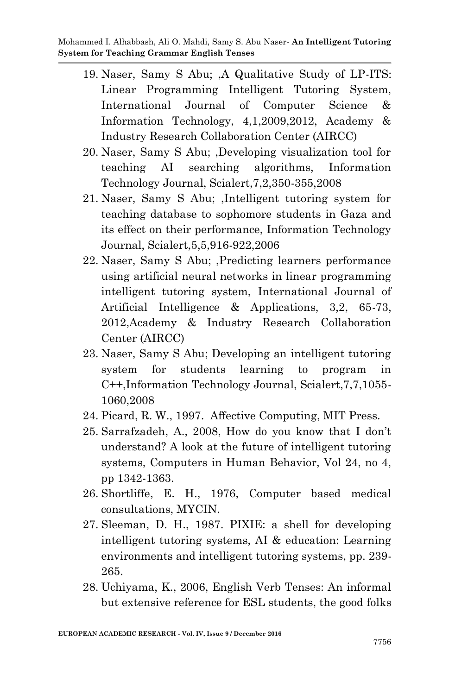- 19. Naser, Samy S Abu; ,A Qualitative Study of LP-ITS: Linear Programming Intelligent Tutoring System, International Journal of Computer Science & Information Technology, 4,1,2009,2012, Academy & Industry Research Collaboration Center (AIRCC)
- 20. Naser, Samy S Abu; ,Developing visualization tool for teaching AI searching algorithms, Information Technology Journal, Scialert,7,2,350-355,2008
- 21. Naser, Samy S Abu; ,Intelligent tutoring system for teaching database to sophomore students in Gaza and its effect on their performance, Information Technology Journal, Scialert,5,5,916-922,2006
- 22. Naser, Samy S Abu; ,Predicting learners performance using artificial neural networks in linear programming intelligent tutoring system, International Journal of Artificial Intelligence & Applications, 3,2, 65-73, 2012,Academy & Industry Research Collaboration Center (AIRCC)
- 23. Naser, Samy S Abu; Developing an intelligent tutoring system for students learning to program in C++,Information Technology Journal, Scialert,7,7,1055- 1060,2008
- 24. Picard, R. W., 1997. Affective Computing, MIT Press.
- 25. Sarrafzadeh, A., 2008, How do you know that I don't understand? A look at the future of intelligent tutoring systems, Computers in Human Behavior, Vol 24, no 4, pp 1342-1363.
- 26. Shortliffe, E. H., 1976, Computer based medical consultations, MYCIN.
- 27. Sleeman, D. H., 1987. PIXIE: a shell for developing intelligent tutoring systems, AI & education: Learning environments and intelligent tutoring systems, pp. 239- 265.
- 28. Uchiyama, K., 2006, English Verb Tenses: An informal but extensive reference for ESL students, the good folks